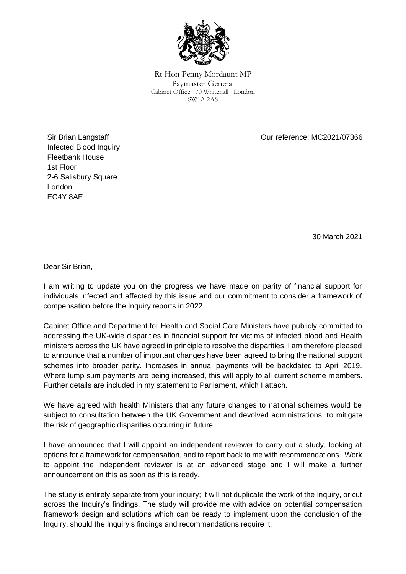

Rt Hon Penny Mordaunt MP Paymaster General Cabinet Office 70 Whitehall London SW1A 2AS

Our reference: MC2021/07366

Sir Brian Langstaff Infected Blood Inquiry Fleetbank House 1st Floor 2-6 Salisbury Square London EC4Y 8AE

30 March 2021

Dear Sir Brian,

I am writing to update you on the progress we have made on parity of financial support for individuals infected and affected by this issue and our commitment to consider a framework of compensation before the Inquiry reports in 2022.

Cabinet Office and Department for Health and Social Care Ministers have publicly committed to addressing the UK-wide disparities in financial support for victims of infected blood and Health ministers across the UK have agreed in principle to resolve the disparities. I am therefore pleased to announce that a number of important changes have been agreed to bring the national support schemes into broader parity. Increases in annual payments will be backdated to April 2019. Where lump sum payments are being increased, this will apply to all current scheme members. Further details are included in my statement to Parliament, which I attach.

We have agreed with health Ministers that any future changes to national schemes would be subject to consultation between the UK Government and devolved administrations, to mitigate the risk of geographic disparities occurring in future.

I have announced that I will appoint an independent reviewer to carry out a study, looking at options for a framework for compensation, and to report back to me with recommendations. Work to appoint the independent reviewer is at an advanced stage and I will make a further announcement on this as soon as this is ready.

The study is entirely separate from your inquiry; it will not duplicate the work of the Inquiry, or cut across the Inquiry's findings. The study will provide me with advice on potential compensation framework design and solutions which can be ready to implement upon the conclusion of the Inquiry, should the Inquiry's findings and recommendations require it.